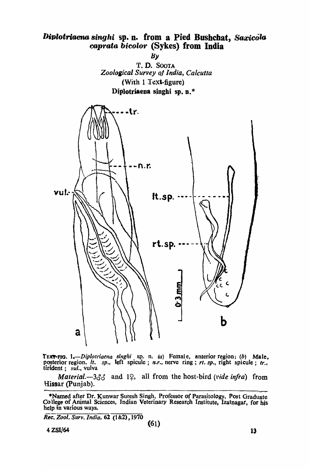## Diplotriaena singhi sp. n. from a Pied Bushchat, Saxicola caprata bicolor (Sykes) from India

 $B\mathcal{V}$ 



TEXT-FIG. 1.—Diplotriaena singhi sp. n. (a) Female, anterior region; (b) Male, posterior region. *it.* sp., left spicule; n.r., nerve ring; rt. sp., right spicule; tr., tirident; vul., vulva

Material.  $-3\delta\delta$  and 19, all from the host-bird (vide infra) from Hissar (Punjab).

\*Named after Dr. Kunwar Suresh Singh, Professor of Parasitology, Post Graduate College of Animal Sciences, Indian Veterinary Research Institute, Izatnagar, for his help in various ways.

Rec. Zool. Surv. India, 62 (1&2), 1970

4 ZSI/64